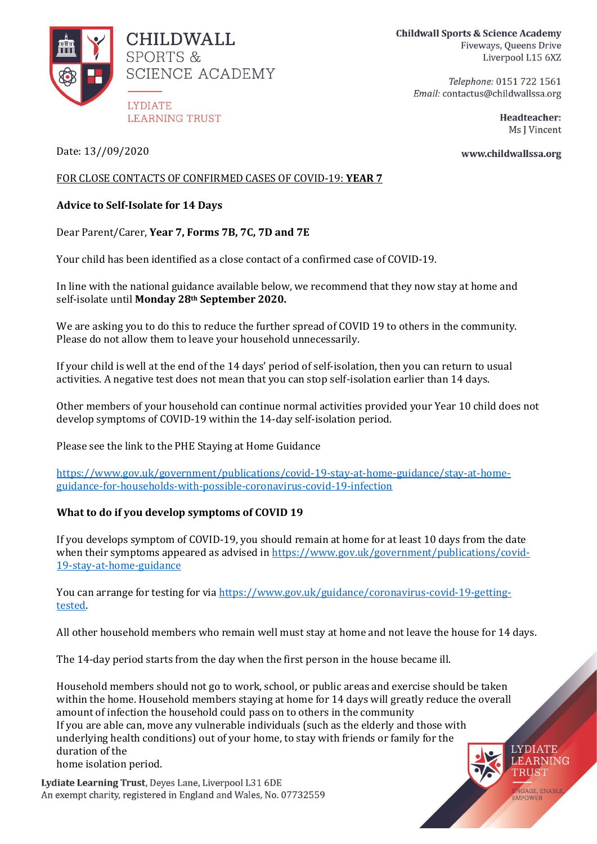

Telephone: 0151 722 1561 Email: contactus@childwallssa.org

> Headteacher: Ms I Vincent

> > **TRUST**

EMPOWER

**ENGAGE, ENABLE** 

Date: 13//09/2020

#### www.childwallssa.org

## FOR CLOSE CONTACTS OF CONFIRMED CASES OF COVID-19: **YEAR 7**

# **Advice to Self-Isolate for 14 Days**

Dear Parent/Carer, **Year 7, Forms 7B, 7C, 7D and 7E**

Your child has been identified as a close contact of a confirmed case of COVID-19.

In line with the national guidance available below, we recommend that they now stay at home and self-isolate until **Monday 28th September 2020.**

We are asking you to do this to reduce the further spread of COVID 19 to others in the community. Please do not allow them to leave your household unnecessarily.

If your child is well at the end of the 14 days' period of self-isolation, then you can return to usual activities. A negative test does not mean that you can stop self-isolation earlier than 14 days.

Other members of your household can continue normal activities provided your Year 10 child does not develop symptoms of COVID-19 within the 14-day self-isolation period.

Please see the link to the PHE Staying at Home Guidance

[https://www.gov.uk/government/publications/covid-19-stay-at-home-guidance/stay-at-home](https://www.gov.uk/government/publications/covid-19-stay-at-home-guidance/stay-at-home-guidance-for-households-with-possible-coronavirus-covid-19-infection)[guidance-for-households-with-possible-coronavirus-covid-19-infection](https://www.gov.uk/government/publications/covid-19-stay-at-home-guidance/stay-at-home-guidance-for-households-with-possible-coronavirus-covid-19-infection)

### **What to do if you develop symptoms of COVID 19**

If you develops symptom of COVID-19, you should remain at home for at least 10 days from the date when their symptoms appeared as advised i[n https://www.gov.uk/government/publications/covid-](https://www.gov.uk/government/publications/covid-19-stay-at-home-guidance)[19-stay-at-home-guidance](https://www.gov.uk/government/publications/covid-19-stay-at-home-guidance)

You can arrange for testing for vi[a https://www.gov.uk/guidance/coronavirus-covid-19-getting](https://www.gov.uk/guidance/coronavirus-covid-19-getting-tested)[tested.](https://www.gov.uk/guidance/coronavirus-covid-19-getting-tested)

All other household members who remain well must stay at home and not leave the house for 14 days.

The 14-day period starts from the day when the first person in the house became ill.

Household members should not go to work, school, or public areas and exercise should be taken within the home. Household members staying at home for 14 days will greatly reduce the overall amount of infection the household could pass on to others in the community If you are able can, move any vulnerable individuals (such as the elderly and those with underlying health conditions) out of your home, to stay with friends or family for the duration of the **LYDIATE LEARNING** 

home isolation period.

Lydiate Learning Trust, Deyes Lane, Liverpool L31 6DE An exempt charity, registered in England and Wales, No. 07732559